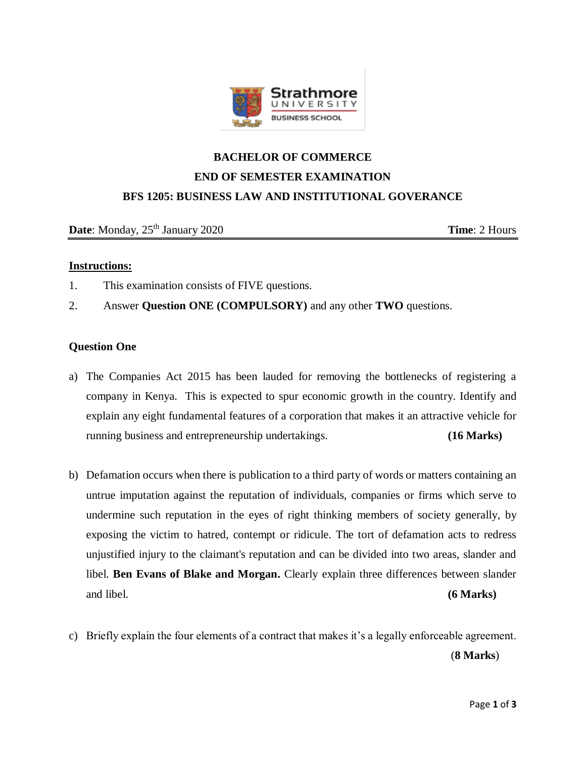

# **BACHELOR OF COMMERCE END OF SEMESTER EXAMINATION BFS 1205: BUSINESS LAW AND INSTITUTIONAL GOVERANCE**

**Date**: Monday, 25<sup>th</sup> January 2020 **Time**: 2 Hours

## **Instructions:**

- 1. This examination consists of FIVE questions.
- 2. Answer **Question ONE (COMPULSORY)** and any other **TWO** questions.

# **Question One**

- a) The Companies Act 2015 has been lauded for removing the bottlenecks of registering a company in Kenya. This is expected to spur economic growth in the country. Identify and explain any eight fundamental features of a corporation that makes it an attractive vehicle for running business and entrepreneurship undertakings. **(16 Marks)**
- b) Defamation occurs when there is publication to a third party of words or matters containing an untrue imputation against the reputation of individuals, companies or firms which serve to undermine such reputation in the eyes of right thinking members of society generally, by exposing the victim to hatred, contempt or ridicule. The tort of defamation acts to redress unjustified injury to the claimant's reputation and can be divided into two areas, slander and libel. **Ben Evans of Blake and Morgan.** Clearly explain three differences between slander and libel. **(6 Marks)**
- c) Briefly explain the four elements of a contract that makes it's a legally enforceable agreement.

(**8 Marks**)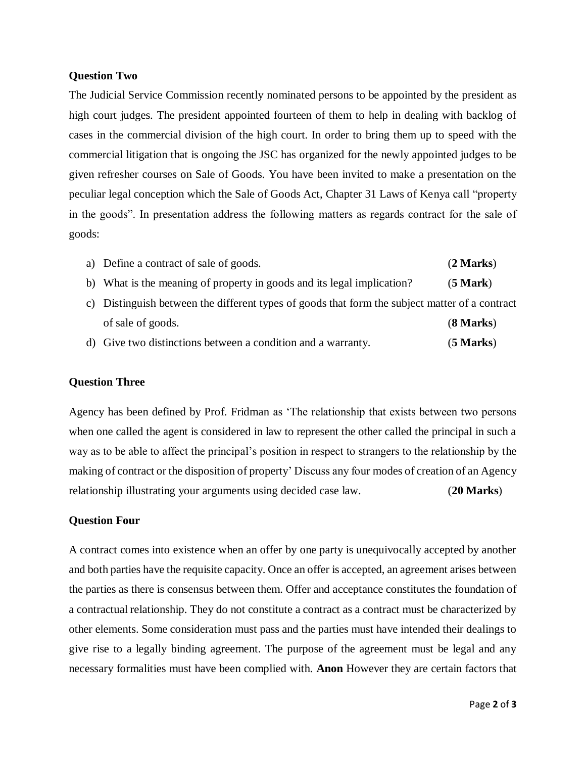#### **Question Two**

The Judicial Service Commission recently nominated persons to be appointed by the president as high court judges. The president appointed fourteen of them to help in dealing with backlog of cases in the commercial division of the high court. In order to bring them up to speed with the commercial litigation that is ongoing the JSC has organized for the newly appointed judges to be given refresher courses on Sale of Goods. You have been invited to make a presentation on the peculiar legal conception which the Sale of Goods Act, Chapter 31 Laws of Kenya call "property in the goods". In presentation address the following matters as regards contract for the sale of goods:

| a) Define a contract of sale of goods.                                 | (2 Marks)          |
|------------------------------------------------------------------------|--------------------|
| b) What is the meaning of property in goods and its legal implication? | $(5 \text{ Mark})$ |

- c) Distinguish between the different types of goods that form the subject matter of a contract of sale of goods. (**8 Marks**)
- d) Give two distinctions between a condition and a warranty. (**5 Marks**)

## **Question Three**

Agency has been defined by Prof. Fridman as 'The relationship that exists between two persons when one called the agent is considered in law to represent the other called the principal in such a way as to be able to affect the principal's position in respect to strangers to the relationship by the making of contract or the disposition of property' Discuss any four modes of creation of an Agency relationship illustrating your arguments using decided case law. (**20 Marks**)

## **Question Four**

A contract comes into existence when an offer by one party is unequivocally accepted by another and both parties have the requisite capacity. Once an offer is accepted, an agreement arises between the parties as there is consensus between them. Offer and acceptance constitutes the foundation of a contractual relationship. They do not constitute a contract as a contract must be characterized by other elements. Some consideration must pass and the parties must have intended their dealings to give rise to a legally binding agreement. The purpose of the agreement must be legal and any necessary formalities must have been complied with. **Anon** However they are certain factors that